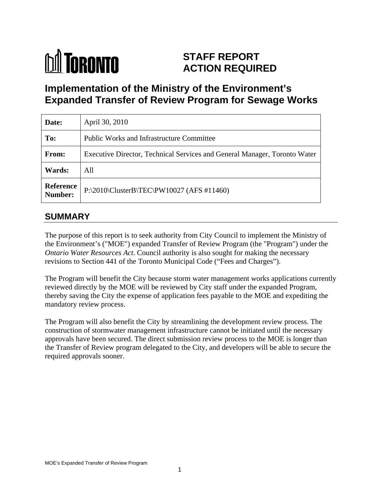# **M** TORONTO **STAFF REPORT ACTION REQUIRED**

**Implementation of the Ministry of the Environment's Expanded Transfer of Review Program for Sewage Works**

| Date:                | April 30, 2010                                                            |
|----------------------|---------------------------------------------------------------------------|
| To:                  | <b>Public Works and Infrastructure Committee</b>                          |
| From:                | Executive Director, Technical Services and General Manager, Toronto Water |
| <b>Wards:</b>        | All                                                                       |
| Reference<br>Number: | $\vert$ P:\2010\ClusterB\TEC\PW10027 (AFS #11460)                         |

## **SUMMARY**

The purpose of this report is to seek authority from City Council to implement the Ministry of the Environment's ("MOE") expanded Transfer of Review Program (the "Program") under the *Ontario Water Resources Act*. Council authority is also sought for making the necessary revisions to Section 441 of the Toronto Municipal Code ("Fees and Charges").

The Program will benefit the City because storm water management works applications currently reviewed directly by the MOE will be reviewed by City staff under the expanded Program, thereby saving the City the expense of application fees payable to the MOE and expediting the mandatory review process.

The Program will also benefit the City by streamlining the development review process. The construction of stormwater management infrastructure cannot be initiated until the necessary approvals have been secured. The direct submission review process to the MOE is longer than the Transfer of Review program delegated to the City, and developers will be able to secure the required approvals sooner.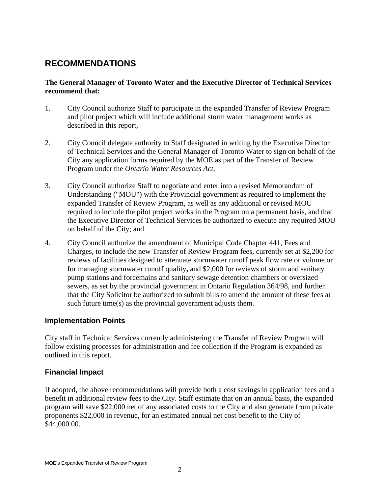## **RECOMMENDATIONS**

### **The General Manager of Toronto Water and the Executive Director of Technical Services recommend that:**

- 1. City Council authorize Staff to participate in the expanded Transfer of Review Program and pilot project which will include additional storm water management works as described in this report,
- 2. City Council delegate authority to Staff designated in writing by the Executive Director of Technical Services and the General Manager of Toronto Water to sign on behalf of the City any application forms required by the MOE as part of the Transfer of Review Program under the *Ontario Water Resources Act*,
- 3. City Council authorize Staff to negotiate and enter into a revised Memorandum of Understanding ("MOU") with the Provincial government as required to implement the expanded Transfer of Review Program, as well as any additional or revised MOU required to include the pilot project works in the Program on a permanent basis, and that the Executive Director of Technical Services be authorized to execute any required MOU on behalf of the City; and
- 4. City Council authorize the amendment of Municipal Code Chapter 441, Fees and Charges, to include the new Transfer of Review Program fees, currently set at \$2,200 for reviews of facilities designed to attenuate stormwater runoff peak flow rate or volume or for managing stormwater runoff quality**,** and \$2,000 for reviews of storm and sanitary pump stations and forcemains and sanitary sewage detention chambers or oversized sewers, as set by the provincial government in Ontario Regulation 364/98, and further that the City Solicitor be authorized to submit bills to amend the amount of these fees at such future time(s) as the provincial government adjusts them.

### **Implementation Points**

City staff in Technical Services currently administering the Transfer of Review Program will follow existing processes for administration and fee collection if the Program is expanded as outlined in this report.

### **Financial Impact**

If adopted, the above recommendations will provide both a cost savings in application fees and a benefit in additional review fees to the City. Staff estimate that on an annual basis, the expanded program will save \$22,000 net of any associated costs to the City and also generate from private proponents \$22,000 in revenue, for an estimated annual net cost benefit to the City of \$44,000.00.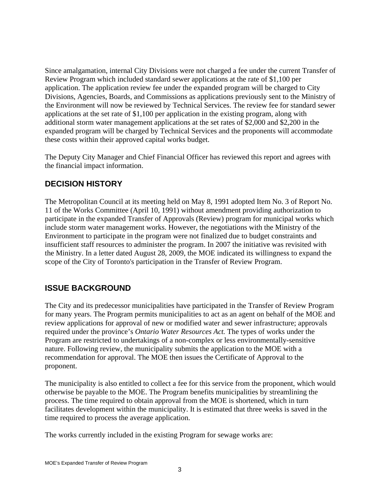Since amalgamation, internal City Divisions were not charged a fee under the current Transfer of Review Program which included standard sewer applications at the rate of \$1,100 per application. The application review fee under the expanded program will be charged to City Divisions, Agencies, Boards, and Commissions as applications previously sent to the Ministry of the Environment will now be reviewed by Technical Services. The review fee for standard sewer applications at the set rate of \$1,100 per application in the existing program, along with additional storm water management applications at the set rates of \$2,000 and \$2,200 in the expanded program will be charged by Technical Services and the proponents will accommodate these costs within their approved capital works budget.

The Deputy City Manager and Chief Financial Officer has reviewed this report and agrees with the financial impact information.

## **DECISION HISTORY**

The Metropolitan Council at its meeting held on May 8, 1991 adopted Item No. 3 of Report No. 11 of the Works Committee (April 10, 1991) without amendment providing authorization to participate in the expanded Transfer of Approvals (Review) program for municipal works which include storm water management works. However, the negotiations with the Ministry of the Environment to participate in the program were not finalized due to budget constraints and insufficient staff resources to administer the program. In 2007 the initiative was revisited with the Ministry. In a letter dated August 28, 2009, the MOE indicated its willingness to expand the scope of the City of Toronto's participation in the Transfer of Review Program.

## **ISSUE BACKGROUND**

The City and its predecessor municipalities have participated in the Transfer of Review Program for many years. The Program permits municipalities to act as an agent on behalf of the MOE and review applications for approval of new or modified water and sewer infrastructure; approvals required under the province's *Ontario Water Resources Act.* The types of works under the Program are restricted to undertakings of a non-complex or less environmentally-sensitive nature. Following review, the municipality submits the application to the MOE with a recommendation for approval. The MOE then issues the Certificate of Approval to the

proponent.<br>The municipality is also entitled to collect a fee for this service from the proponent, which would otherwise be payable to the MOE. The Program benefits municipalities by streamlining the process. The time required to obtain approval from the MOE is shortened, which in turn facilitates development within the municipality. It is estimated that three weeks is saved in the time required to process the average application.

The works currently included in the existing Program for sewage works are: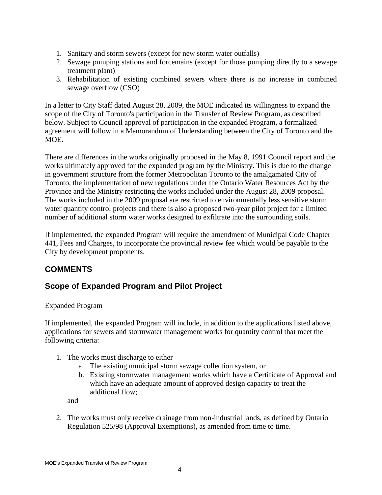- 1. Sanitary and storm sewers (except for new storm water outfalls)
- 2. Sewage pumping stations and forcemains (except for those pumping directly to a sewage treatment plant)
- 3. Rehabilitation of existing combined sewers where there is no increase in combined sewage overflow (CSO)

In a letter to City Staff dated August 28, 2009, the MOE indicated its willingness to expand the scope of the City of Toronto's participation in the Transfer of Review Program, as described below. Subject to Council approval of participation in the expanded Program, a formalized agreement will follow in a Memorandum of Understanding between the City of Toronto and the MOE.

There are differences in the works originally proposed in the May 8, 1991 Council report and the works ultimately approved for the expanded program by the Ministry. This is due to the change in government structure from the former Metropolitan Toronto to the amalgamated City of Toronto, the implementation of new regulations under the Ontario Water Resources Act by the Province and the Ministry restricting the works included under the August 28, 2009 proposal. The works included in the 2009 proposal are restricted to environmentally less sensitive storm water quantity control projects and there is also a proposed two-year pilot project for a limited number of additional storm water works designed to exfiltrate into the surrounding soils.

If implemented, the expanded Program will require the amendment of Municipal Code Chapter 441, Fees and Charges, to incorporate the provincial review fee which would be payable to the City by development proponents.

## **COMMENTS**

## **Scope of Expanded Program and Pilot Project**

### Expanded Program

If implemented, the expanded Program will include, in addition to the applications listed above, applications for sewers and stormwater management works for quantity control that meet the following criteria:

- 1. The works must discharge to either
	- a. The existing municipal storm sewage collection system, or
	- b. Existing stormwater management works which have a Certificate of Approval and which have an adequate amount of approved design capacity to treat the additional flow;

and

2. The works must only receive drainage from non-industrial lands, as defined by Ontario Regulation 525/98 (Approval Exemptions), as amended from time to time.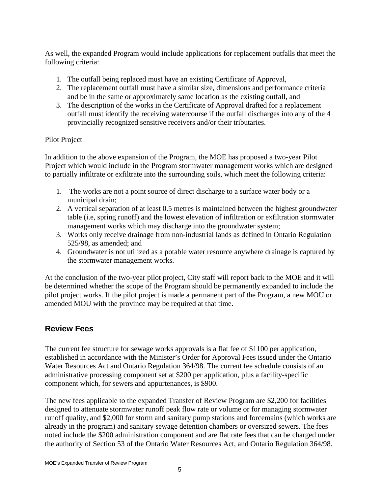As well, the expanded Program would include applications for replacement outfalls that meet the following criteria:

- 1. The outfall being replaced must have an existing Certificate of Approval,
- 2. The replacement outfall must have a similar size, dimensions and performance criteria and be in the same or approximately same location as the existing outfall, and
- 3. The description of the works in the Certificate of Approval drafted for a replacement outfall must identify the receiving watercourse if the outfall discharges into any of the 4 provincially recognized sensitive receivers and/or their tributaries.

### Pilot Project

In addition to the above expansion of the Program, the MOE has proposed a two-year Pilot Project which would include in the Program stormwater management works which are designed to partially infiltrate or exfiltrate into the surrounding soils, which meet the following criteria:

- 1. The works are not a point source of direct discharge to a surface water body or a municipal drain;
- 2. A vertical separation of at least 0.5 metres is maintained between the highest groundwater table (i.e, spring runoff) and the lowest elevation of infiltration or exfiltration stormwater management works which may discharge into the groundwater system;
- 3. Works only receive drainage from non-industrial lands as defined in Ontario Regulation 525/98, as amended; and
- 4. Groundwater is not utilized as a potable water resource anywhere drainage is captured by the stormwater management works.

At the conclusion of the two-year pilot project, City staff will report back to the MOE and it will be determined whether the scope of the Program should be permanently expanded to include the pilot project works. If the pilot project is made a permanent part of the Program, a new MOU or amended MOU with the province may be required at that time.

### **Review Fees**

The current fee structure for sewage works approvals is a flat fee of \$1100 per application, established in accordance with the Minister's Order for Approval Fees issued under the Ontario Water Resources Act and Ontario Regulation 364/98. The current fee schedule consists of an administrative processing component set at \$200 per application, plus a facility-specific component which, for sewers and appurtenances, is \$900.

The new fees applicable to the expanded Transfer of Review Program are \$2,200 for facilities designed to attenuate stormwater runoff peak flow rate or volume or for managing stormwater runoff quality, and \$2,000 for storm and sanitary pump stations and forcemains (which works are already in the program) and sanitary sewage detention chambers or oversized sewers. The fees noted include the \$200 administration component and are flat rate fees that can be charged under the authority of Section 53 of the Ontario Water Resources Act, and Ontario Regulation 364/98.